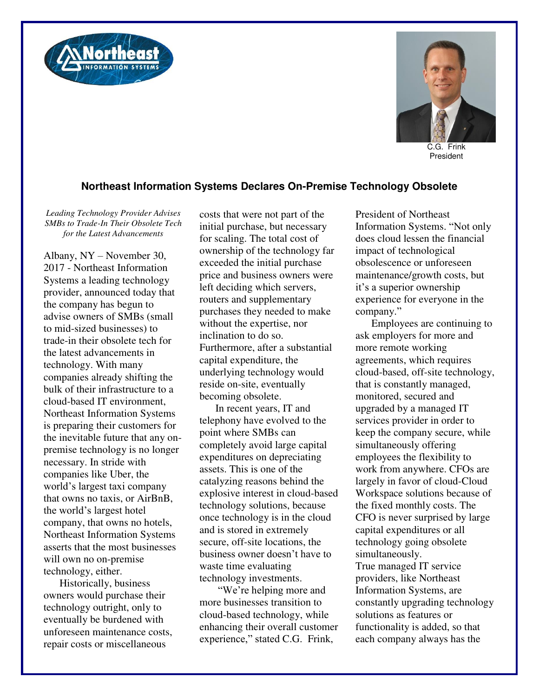



C.G. Frink President

## **Northeast Information Systems Declares On-Premise Technology Obsolete**

*Leading Technology Provider Advises SMBs to Trade-In Their Obsolete Tech for the Latest Advancements* 

Albany, NY – November 30, 2017 - Northeast Information Systems a leading technology provider, announced today that the company has begun to advise owners of SMBs (small to mid-sized businesses) to trade-in their obsolete tech for the latest advancements in technology. With many companies already shifting the bulk of their infrastructure to a cloud-based IT environment, Northeast Information Systems is preparing their customers for the inevitable future that any onpremise technology is no longer necessary. In stride with companies like Uber, the world's largest taxi company that owns no taxis, or AirBnB, the world's largest hotel company, that owns no hotels, Northeast Information Systems asserts that the most businesses will own no on-premise technology, either.

Historically, business owners would purchase their technology outright, only to eventually be burdened with unforeseen maintenance costs, repair costs or miscellaneous

costs that were not part of the initial purchase, but necessary for scaling. The total cost of ownership of the technology far exceeded the initial purchase price and business owners were left deciding which servers, routers and supplementary purchases they needed to make without the expertise, nor inclination to do so. Furthermore, after a substantial capital expenditure, the underlying technology would reside on-site, eventually becoming obsolete.

In recent years, IT and telephony have evolved to the point where SMBs can completely avoid large capital expenditures on depreciating assets. This is one of the catalyzing reasons behind the explosive interest in cloud-based technology solutions, because once technology is in the cloud and is stored in extremely secure, off-site locations, the business owner doesn't have to waste time evaluating technology investments.

"We're helping more and more businesses transition to cloud-based technology, while enhancing their overall customer experience," stated C.G. Frink,

President of Northeast Information Systems. "Not only does cloud lessen the financial impact of technological obsolescence or unforeseen maintenance/growth costs, but it's a superior ownership experience for everyone in the company."

Employees are continuing to ask employers for more and more remote working agreements, which requires cloud-based, off-site technology, that is constantly managed, monitored, secured and upgraded by a managed IT services provider in order to keep the company secure, while simultaneously offering employees the flexibility to work from anywhere. CFOs are largely in favor of cloud-Cloud Workspace solutions because of the fixed monthly costs. The CFO is never surprised by large capital expenditures or all technology going obsolete simultaneously. True managed IT service providers, like Northeast Information Systems, are constantly upgrading technology solutions as features or functionality is added, so that each company always has the